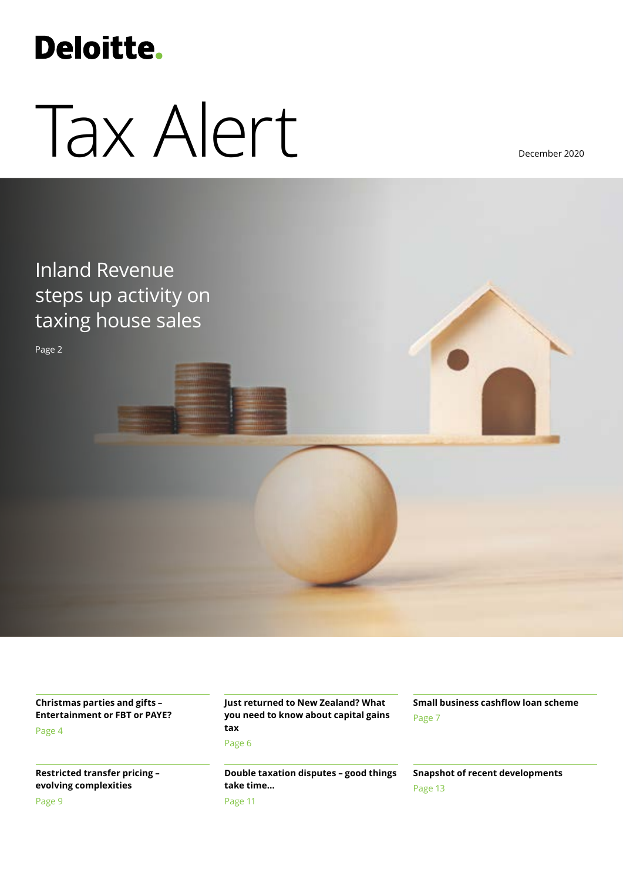## **Deloitte.**

# Tax Alert

December 2020

### Inland Revenue steps up activity on taxing house sales

Page 2

**Christmas parties and gifts – Entertainment or FBT or PAYE?** Page 4

**Restricted transfer pricing – evolving complexities**

Page 9

**Just returned to New Zealand? What you need to know about capital gains tax**

Page 6

**Double taxation disputes – good things take time…** Page 11

**Small business cashflow loan scheme** Page 7

**Snapshot of recent developments** Page 13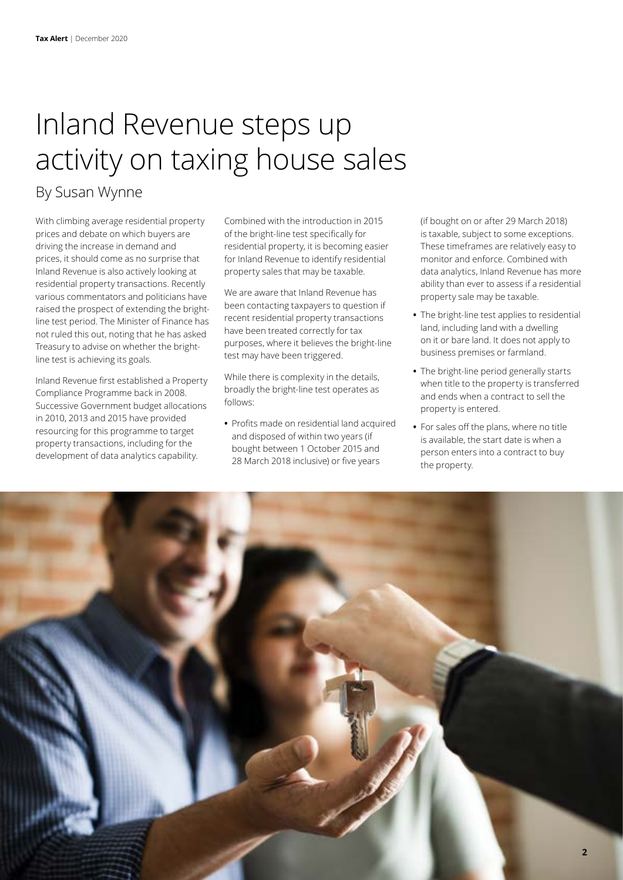### Inland Revenue steps up activity on taxing house sales

### By Susan Wynne

With climbing average residential property prices and debate on which buyers are driving the increase in demand and prices, it should come as no surprise that Inland Revenue is also actively looking at residential property transactions. Recently various commentators and politicians have raised the prospect of extending the brightline test period. The Minister of Finance has not ruled this out, noting that he has asked Treasury to advise on whether the brightline test is achieving its goals.

Inland Revenue first established a Property Compliance Programme back in 2008. Successive Government budget allocations in 2010, 2013 and 2015 have provided resourcing for this programme to target property transactions, including for the development of data analytics capability.

Combined with the introduction in 2015 of the bright-line test specifically for residential property, it is becoming easier for Inland Revenue to identify residential property sales that may be taxable.

We are aware that Inland Revenue has been contacting taxpayers to question if recent residential property transactions have been treated correctly for tax purposes, where it believes the bright-line test may have been triggered.

While there is complexity in the details, broadly the bright-line test operates as follows:

**•** Profits made on residential land acquired and disposed of within two years (if bought between 1 October 2015 and 28 March 2018 inclusive) or five years

(if bought on or after 29 March 2018) is taxable, subject to some exceptions. These timeframes are relatively easy to monitor and enforce. Combined with data analytics, Inland Revenue has more ability than ever to assess if a residential property sale may be taxable.

- **•** The bright-line test applies to residential land, including land with a dwelling on it or bare land. It does not apply to business premises or farmland.
- **•** The bright-line period generally starts when title to the property is transferred and ends when a contract to sell the property is entered.
- **•** For sales off the plans, where no title is available, the start date is when a person enters into a contract to buy the property.

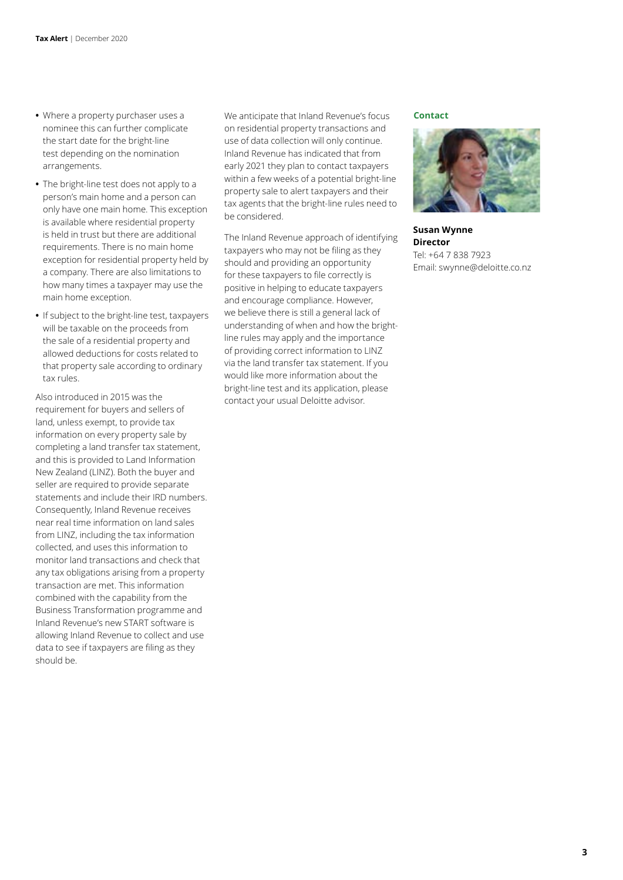- **•** Where a property purchaser uses a nominee this can further complicate the start date for the bright-line test depending on the nomination arrangements.
- **•** The bright-line test does not apply to a person's main home and a person can only have one main home. This exception is available where residential property is held in trust but there are additional requirements. There is no main home exception for residential property held by a company. There are also limitations to how many times a taxpayer may use the main home exception.
- **•** If subject to the bright-line test, taxpayers will be taxable on the proceeds from the sale of a residential property and allowed deductions for costs related to that property sale according to ordinary tax rules.

Also introduced in 2015 was the requirement for buyers and sellers of land, unless exempt, to provide tax information on every property sale by completing a land transfer tax statement, and this is provided to Land Information New Zealand (LINZ). Both the buyer and seller are required to provide separate statements and include their IRD numbers. Consequently, Inland Revenue receives near real time information on land sales from LINZ, including the tax information collected, and uses this information to monitor land transactions and check that any tax obligations arising from a property transaction are met. This information combined with the capability from the Business Transformation programme and Inland Revenue's new START software is allowing Inland Revenue to collect and use data to see if taxpayers are filing as they should be.

We anticipate that Inland Revenue's focus on residential property transactions and use of data collection will only continue. Inland Revenue has indicated that from early 2021 they plan to contact taxpayers within a few weeks of a potential bright-line property sale to alert taxpayers and their tax agents that the bright-line rules need to be considered.

The Inland Revenue approach of identifying taxpayers who may not be filing as they should and providing an opportunity for these taxpayers to file correctly is positive in helping to educate taxpayers and encourage compliance. However, we believe there is still a general lack of understanding of when and how the brightline rules may apply and the importance of providing correct information to LINZ via the land transfer tax statement. If you would like more information about the bright-line test and its application, please contact your usual Deloitte advisor.

#### **Contact**



**Susan Wynne Director** Tel: +64 7 838 7923 Email: swynne@deloitte.co.nz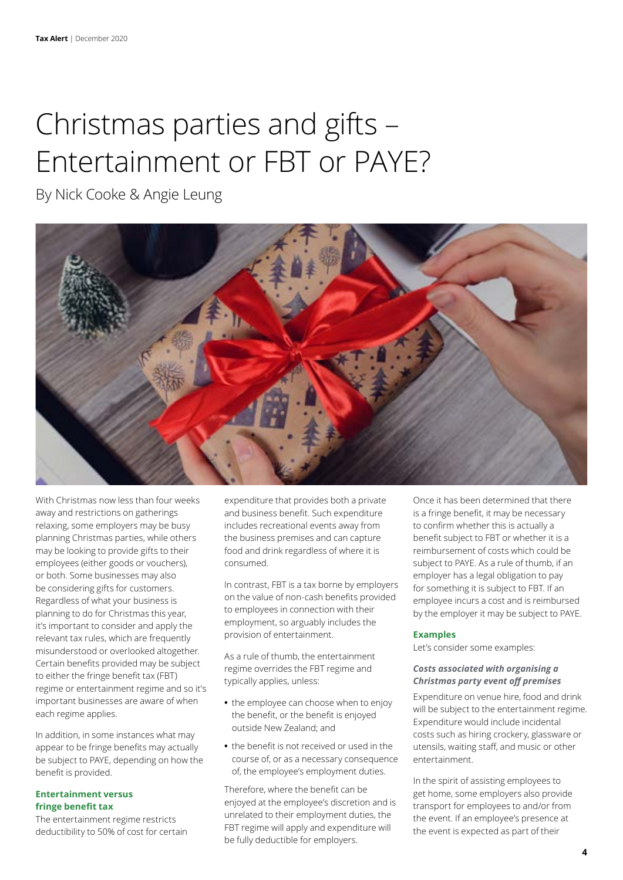### Christmas parties and gifts – Entertainment or FBT or PAYE?

By Nick Cooke & Angie Leung



With Christmas now less than four weeks away and restrictions on gatherings relaxing, some employers may be busy planning Christmas parties, while others may be looking to provide gifts to their employees (either goods or vouchers), or both. Some businesses may also be considering gifts for customers. Regardless of what your business is planning to do for Christmas this year, it's important to consider and apply the relevant tax rules, which are frequently misunderstood or overlooked altogether. Certain benefits provided may be subject to either the fringe benefit tax (FBT) regime or entertainment regime and so it's important businesses are aware of when each regime applies.

In addition, in some instances what may appear to be fringe benefits may actually be subject to PAYE, depending on how the benefit is provided.

#### **Entertainment versus fringe benefit tax**

The entertainment regime restricts deductibility to 50% of cost for certain expenditure that provides both a private and business benefit. Such expenditure includes recreational events away from the business premises and can capture food and drink regardless of where it is consumed.

In contrast, FBT is a tax borne by employers on the value of non-cash benefits provided to employees in connection with their employment, so arguably includes the provision of entertainment.

As a rule of thumb, the entertainment regime overrides the FBT regime and typically applies, unless:

- **•** the employee can choose when to enjoy the benefit, or the benefit is enjoyed outside New Zealand; and
- **•** the benefit is not received or used in the course of, or as a necessary consequence of, the employee's employment duties.

Therefore, where the benefit can be enjoyed at the employee's discretion and is unrelated to their employment duties, the FBT regime will apply and expenditure will be fully deductible for employers.

Once it has been determined that there is a fringe benefit, it may be necessary to confirm whether this is actually a benefit subject to FBT or whether it is a reimbursement of costs which could be subject to PAYE. As a rule of thumb, if an employer has a legal obligation to pay for something it is subject to FBT. If an employee incurs a cost and is reimbursed by the employer it may be subject to PAYE.

#### **Examples**

Let's consider some examples:

#### *Costs associated with organising a Christmas party event off premises*

Expenditure on venue hire, food and drink will be subject to the entertainment regime. Expenditure would include incidental costs such as hiring crockery, glassware or utensils, waiting staff, and music or other entertainment.

In the spirit of assisting employees to get home, some employers also provide transport for employees to and/or from the event. If an employee's presence at the event is expected as part of their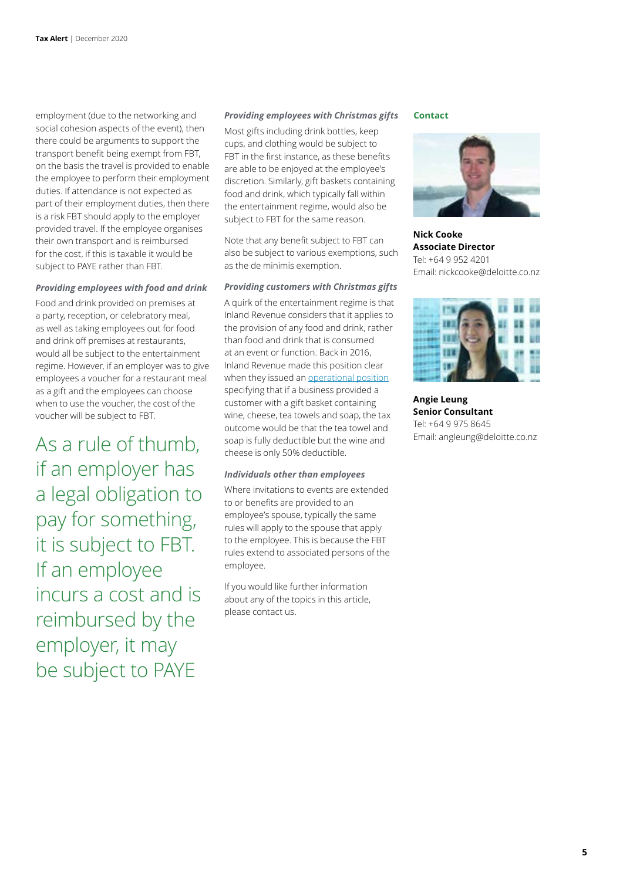employment (due to the networking and social cohesion aspects of the event), then there could be arguments to support the transport benefit being exempt from FBT, on the basis the travel is provided to enable the employee to perform their employment duties. If attendance is not expected as part of their employment duties, then there is a risk FBT should apply to the employer provided travel. If the employee organises their own transport and is reimbursed for the cost, if this is taxable it would be subject to PAYE rather than FBT.

#### *Providing employees with food and drink*

Food and drink provided on premises at a party, reception, or celebratory meal, as well as taking employees out for food and drink off premises at restaurants, would all be subject to the entertainment regime. However, if an employer was to give employees a voucher for a restaurant meal as a gift and the employees can choose when to use the voucher, the cost of the voucher will be subject to FBT.

As a rule of thumb, if an employer has a legal obligation to pay for something, it is subject to FBT. If an employee incurs a cost and is reimbursed by the employer, it may be subject to PAYE

#### *Providing employees with Christmas gifts*

Most gifts including drink bottles, keep cups, and clothing would be subject to FBT in the first instance, as these benefits are able to be enjoyed at the employee's discretion. Similarly, gift baskets containing food and drink, which typically fall within the entertainment regime, would also be subject to FBT for the same reason.

Note that any benefit subject to FBT can also be subject to various exemptions, such as the de minimis exemption.

#### *Providing customers with Christmas gifts*

A quirk of the entertainment regime is that Inland Revenue considers that it applies to the provision of any food and drink, rather than food and drink that is consumed at an event or function. Back in 2016, Inland Revenue made this position clear when they issued an [operational position](https://www.taxtechnical.ird.govt.nz/operational-positions/commissioners-operational-position-on-deducting-expenditure-on-gifts-of-food-and-drink) specifying that if a business provided a customer with a gift basket containing wine, cheese, tea towels and soap, the tax outcome would be that the tea towel and soap is fully deductible but the wine and cheese is only 50% deductible.

#### *Individuals other than employees*

Where invitations to events are extended to or benefits are provided to an employee's spouse, typically the same rules will apply to the spouse that apply to the employee. This is because the FBT rules extend to associated persons of the employee.

If you would like further information about any of the topics in this article, please contact us.

#### **Contact**



**Nick Cooke Associate Director** Tel: +64 9 952 4201 Email: nickcooke@deloitte.co.nz



**Angie Leung Senior Consultant** Tel: +64 9 975 8645 Email: angleung@deloitte.co.nz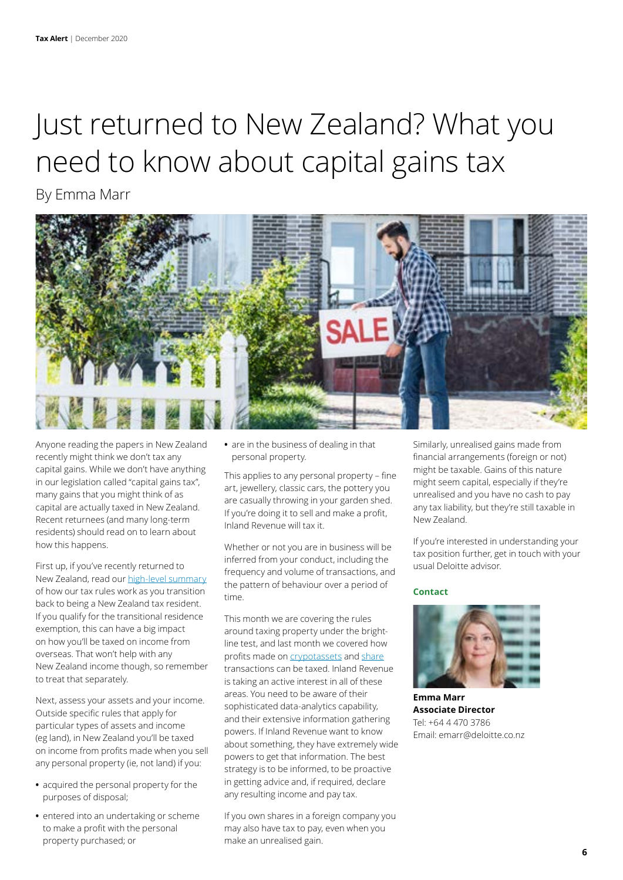### Just returned to New Zealand? What you need to know about capital gains tax

By Emma Marr



Anyone reading the papers in New Zealand recently might think we don't tax any capital gains. While we don't have anything in our legislation called "capital gains tax", many gains that you might think of as capital are actually taxed in New Zealand. Recent returnees (and many long-term residents) should read on to learn about how this happens.

First up, if you've recently returned to New Zealand, read our [high-level summary](https://www2.deloitte.com/nz/en/pages/tax-alerts/articles/returning-to-new-zealand.html) of how our tax rules work as you transition back to being a New Zealand tax resident. If you qualify for the transitional residence exemption, this can have a big impact on how you'll be taxed on income from overseas. That won't help with any New Zealand income though, so remember to treat that separately.

Next, assess your assets and your income. Outside specific rules that apply for particular types of assets and income (eg land), in New Zealand you'll be taxed on income from profits made when you sell any personal property (ie, not land) if you:

- **•** acquired the personal property for the purposes of disposal;
- **•** entered into an undertaking or scheme to make a profit with the personal property purchased; or

**•** are in the business of dealing in that personal property.

This applies to any personal property – fine art, jewellery, classic cars, the pottery you are casually throwing in your garden shed. If you're doing it to sell and make a profit, Inland Revenue will tax it.

Whether or not you are in business will be inferred from your conduct, including the frequency and volume of transactions, and the pattern of behaviour over a period of time.

This month we are covering the rules around taxing property under the brightline test, and last month we covered how profits made on [crypotassets](https://www2.deloitte.com/nz/en/pages/tax-alerts/articles/investing-in-cryptocurrency.html) and [share](https://www2.deloitte.com/nz/en/pages/tax-alerts/articles/share-market-habit.html) transactions can be taxed. Inland Revenue is taking an active interest in all of these areas. You need to be aware of their sophisticated data-analytics capability, and their extensive information gathering powers. If Inland Revenue want to know about something, they have extremely wide powers to get that information. The best strategy is to be informed, to be proactive in getting advice and, if required, declare any resulting income and pay tax.

If you own shares in a foreign company you may also have tax to pay, even when you make an unrealised gain.

Similarly, unrealised gains made from financial arrangements (foreign or not) might be taxable. Gains of this nature might seem capital, especially if they're unrealised and you have no cash to pay any tax liability, but they're still taxable in New Zealand.

If you're interested in understanding your tax position further, get in touch with your usual Deloitte advisor.

#### **Contact**



**Emma Marr Associate Director** Tel: +64 4 470 3786 Email: emarr@deloitte.co.nz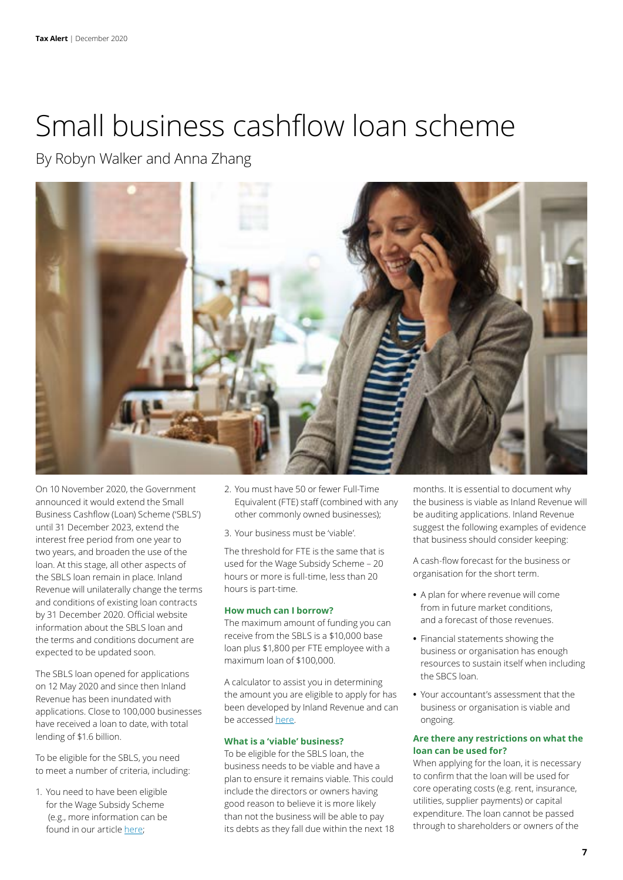### Small business cashflow loan scheme

By Robyn Walker and Anna Zhang



On 10 November 2020, the Government announced it would extend the Small Business Cashflow (Loan) Scheme ('SBLS') until 31 December 2023, extend the interest free period from one year to two years, and broaden the use of the loan. At this stage, all other aspects of the SBLS loan remain in place. Inland Revenue will unilaterally change the terms and conditions of existing loan contracts by 31 December 2020. Official website information about the SBLS loan and the terms and conditions document are expected to be updated soon.

The SBLS loan opened for applications on 12 May 2020 and since then Inland Revenue has been inundated with applications. Close to 100,000 businesses have received a loan to date, with total lending of \$1.6 billion.

To be eligible for the SBLS, you need to meet a number of criteria, including:

1. You need to have been eligible for the Wage Subsidy Scheme (e.g., more information can be found in our article [here](https://www2.deloitte.com/nz/en/pages/tax/articles/summary-of-the-wage-subsidy-scheme-and-essential-workers-leave-s.html);

- 2. You must have 50 or fewer Full-Time Equivalent (FTE) staff (combined with any other commonly owned businesses);
- 3. Your business must be 'viable'.

The threshold for FTE is the same that is used for the Wage Subsidy Scheme – 20 hours or more is full-time, less than 20 hours is part-time.

#### **How much can I borrow?**

The maximum amount of funding you can receive from the SBLS is a \$10,000 base loan plus \$1,800 per FTE employee with a maximum loan of \$100,000.

A calculator to assist you in determining the amount you are eligible to apply for has been developed by Inland Revenue and can be accessed [here.](https://www.ird.govt.nz/covid-19/business-and-organisations/small-business-cash-flow-loan/maximum-loan-size)

#### **What is a 'viable' business?**

To be eligible for the SBLS loan, the business needs to be viable and have a plan to ensure it remains viable. This could include the directors or owners having good reason to believe it is more likely than not the business will be able to pay its debts as they fall due within the next 18 months. It is essential to document why the business is viable as Inland Revenue will be auditing applications. Inland Revenue suggest the following examples of evidence that business should consider keeping:

A cash-flow forecast for the business or organisation for the short term.

- **•** A plan for where revenue will come from in future market conditions, and a forecast of those revenues.
- **•** Financial statements showing the business or organisation has enough resources to sustain itself when including the SBCS loan.
- **•** Your accountant's assessment that the business or organisation is viable and ongoing.

#### **Are there any restrictions on what the loan can be used for?**

When applying for the loan, it is necessary to confirm that the loan will be used for core operating costs (e.g. rent, insurance, utilities, supplier payments) or capital expenditure. The loan cannot be passed through to shareholders or owners of the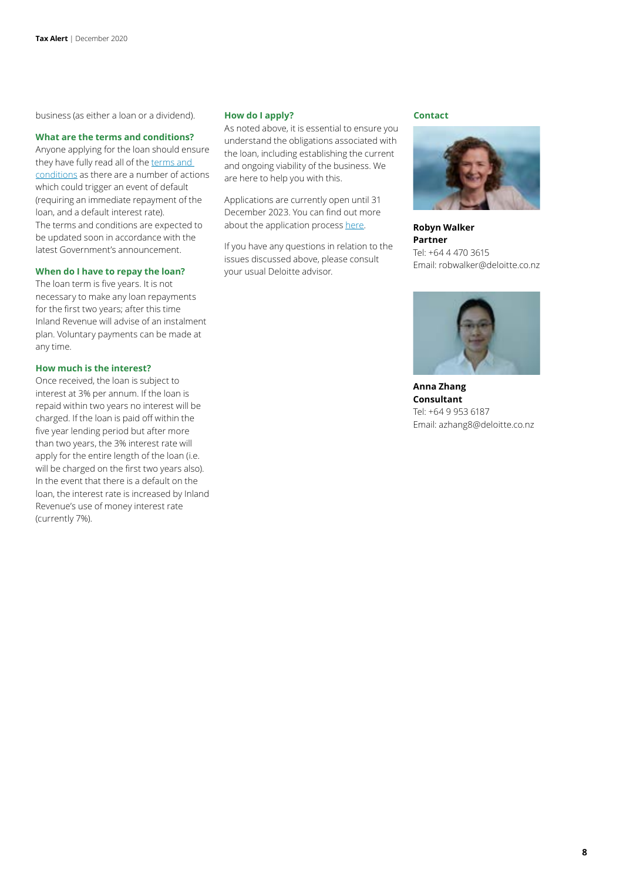business (as either a loan or a dividend).

#### **What are the terms and conditions?**

Anyone applying for the loan should ensure they have fully read all of the terms and [conditions](https://www.ird.govt.nz/-/media/project/ir/home/documents/covid-19/sbcs/small-business-cashflow-loan-scheme.pdf) as there are a number of actions which could trigger an event of default (requiring an immediate repayment of the loan, and a default interest rate). The terms and conditions are expected to be updated soon in accordance with the latest Government's announcement.

#### **When do I have to repay the loan?**

The loan term is five years. It is not necessary to make any loan repayments for the first two years; after this time Inland Revenue will advise of an instalment plan. Voluntary payments can be made at any time.

#### **How much is the interest?**

Once received, the loan is subject to interest at 3% per annum. If the loan is repaid within two years no interest will be charged. If the loan is paid off within the five year lending period but after more than two years, the 3% interest rate will apply for the entire length of the loan (i.e. will be charged on the first two years also). In the event that there is a default on the loan, the interest rate is increased by Inland Revenue's use of money interest rate (currently 7%).

#### **How do I apply?**

As noted above, it is essential to ensure you understand the obligations associated with the loan, including establishing the current and ongoing viability of the business. We are here to help you with this.

Applications are currently open until 31 December 2023. You can find out more about the application process [here.](https://www.ird.govt.nz/covid-19/business-and-organisations/small-business-cash-flow-loan/applying-for-the-sbcs-loan)

If you have any questions in relation to the issues discussed above, please consult your usual Deloitte advisor.

#### **Contact**



**Robyn Walker Partner** Tel: +64 4 470 3615 Email: robwalker@deloitte.co.nz



**Anna Zhang Consultant**  Tel: +64 9 953 6187 Email: azhang8@deloitte.co.nz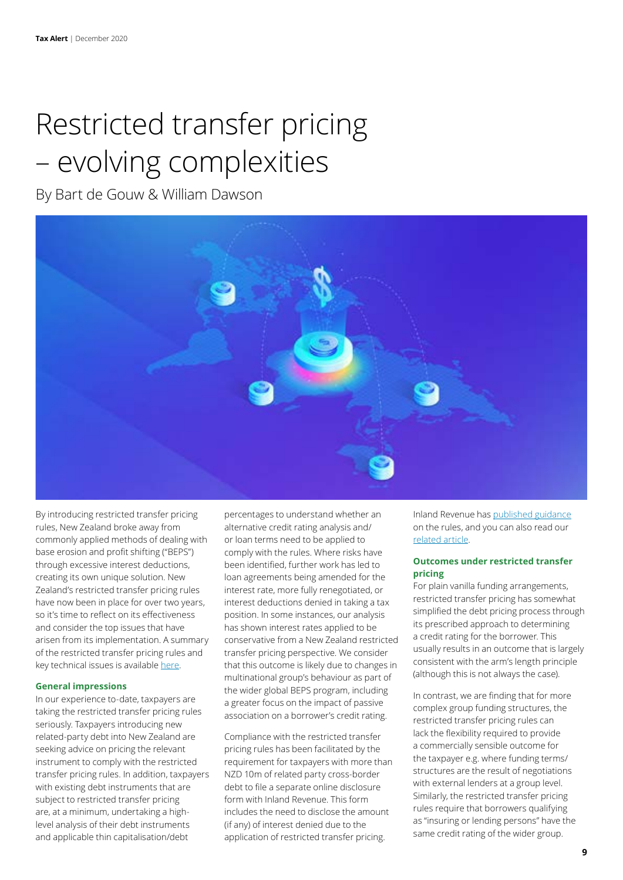## Restricted transfer pricing – evolving complexities

By Bart de Gouw & William Dawson



By introducing restricted transfer pricing rules, New Zealand broke away from commonly applied methods of dealing with base erosion and profit shifting ("BEPS") through excessive interest deductions, creating its own unique solution. New Zealand's restricted transfer pricing rules have now been in place for over two years, so it's time to reflect on its effectiveness and consider the top issues that have arisen from its implementation. A summary of the restricted transfer pricing rules and key technical issues is available [here](https://www2.deloitte.com/nz/en/pages/tax/articles/restricted-transfer-pricing.html).

#### **General impressions**

In our experience to-date, taxpayers are taking the restricted transfer pricing rules seriously. Taxpayers introducing new related-party debt into New Zealand are seeking advice on pricing the relevant instrument to comply with the restricted transfer pricing rules. In addition, taxpayers with existing debt instruments that are subject to restricted transfer pricing are, at a minimum, undertaking a highlevel analysis of their debt instruments and applicable thin capitalisation/debt

percentages to understand whether an alternative credit rating analysis and/ or loan terms need to be applied to comply with the rules. Where risks have been identified, further work has led to loan agreements being amended for the interest rate, more fully renegotiated, or interest deductions denied in taking a tax position. In some instances, our analysis has shown interest rates applied to be conservative from a New Zealand restricted transfer pricing perspective. We consider that this outcome is likely due to changes in multinational group's behaviour as part of the wider global BEPS program, including a greater focus on the impact of passive association on a borrower's credit rating.

Compliance with the restricted transfer pricing rules has been facilitated by the requirement for taxpayers with more than NZD 10m of related party cross-border debt to file a separate online disclosure form with Inland Revenue. This form includes the need to disclose the amount (if any) of interest denied due to the application of restricted transfer pricing.

Inland Revenue has [published guidance](https://www.ird.govt.nz/international-tax/business/beps-disclosure) on the rules, and you can also read our [related article.](https://www2.deloitte.com/nz/en/pages/tax-alerts/articles/compulsory-online-beps-disclosure-forms.html)

#### **Outcomes under restricted transfer pricing**

For plain vanilla funding arrangements, restricted transfer pricing has somewhat simplified the debt pricing process through its prescribed approach to determining a credit rating for the borrower. This usually results in an outcome that is largely consistent with the arm's length principle (although this is not always the case).

In contrast, we are finding that for more complex group funding structures, the restricted transfer pricing rules can lack the flexibility required to provide a commercially sensible outcome for the taxpayer e.g. where funding terms/ structures are the result of negotiations with external lenders at a group level. Similarly, the restricted transfer pricing rules require that borrowers qualifying as "insuring or lending persons" have the same credit rating of the wider group.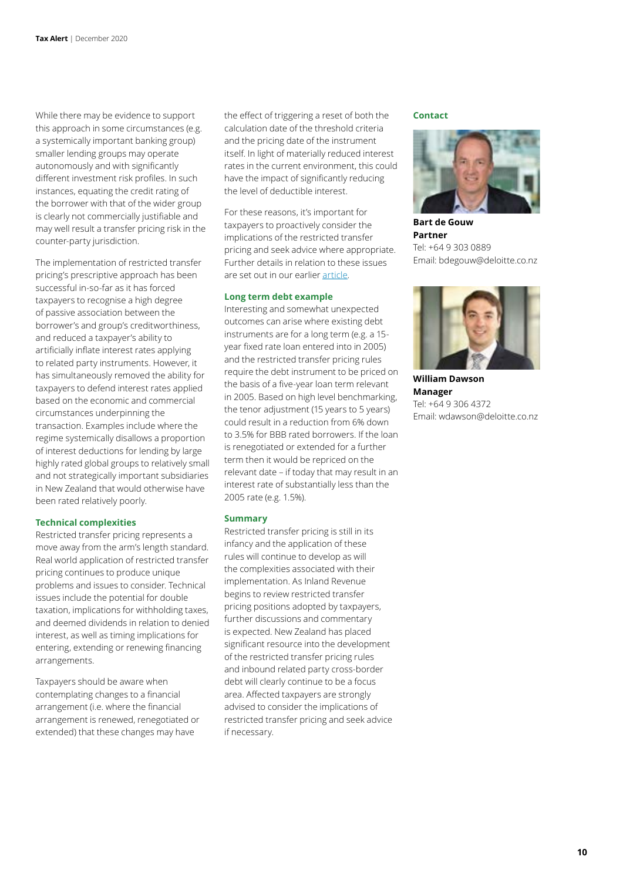While there may be evidence to support this approach in some circumstances (e.g. a systemically important banking group) smaller lending groups may operate autonomously and with significantly different investment risk profiles. In such instances, equating the credit rating of the borrower with that of the wider group is clearly not commercially justifiable and may well result a transfer pricing risk in the counter-party jurisdiction.

The implementation of restricted transfer pricing's prescriptive approach has been successful in-so-far as it has forced taxpayers to recognise a high degree of passive association between the borrower's and group's creditworthiness, and reduced a taxpayer's ability to artificially inflate interest rates applying to related party instruments. However, it has simultaneously removed the ability for taxpayers to defend interest rates applied based on the economic and commercial circumstances underpinning the transaction. Examples include where the regime systemically disallows a proportion of interest deductions for lending by large highly rated global groups to relatively small and not strategically important subsidiaries in New Zealand that would otherwise have been rated relatively poorly.

#### **Technical complexities**

Restricted transfer pricing represents a move away from the arm's length standard. Real world application of restricted transfer pricing continues to produce unique problems and issues to consider. Technical issues include the potential for double taxation, implications for withholding taxes, and deemed dividends in relation to denied interest, as well as timing implications for entering, extending or renewing financing arrangements.

Taxpayers should be aware when contemplating changes to a financial arrangement (i.e. where the financial arrangement is renewed, renegotiated or extended) that these changes may have

the effect of triggering a reset of both the calculation date of the threshold criteria and the pricing date of the instrument itself. In light of materially reduced interest rates in the current environment, this could have the impact of significantly reducing the level of deductible interest.

For these reasons, it's important for taxpayers to proactively consider the implications of the restricted transfer pricing and seek advice where appropriate. Further details in relation to these issues are set out in our earlier [article](https://www2.deloitte.com/nz/en/pages/tax/articles/restricted-transfer-pricing.html).

#### **Long term debt example**

Interesting and somewhat unexpected outcomes can arise where existing debt instruments are for a long term (e.g. a 15 year fixed rate loan entered into in 2005) and the restricted transfer pricing rules require the debt instrument to be priced on the basis of a five-year loan term relevant in 2005. Based on high level benchmarking, the tenor adjustment (15 years to 5 years) could result in a reduction from 6% down to 3.5% for BBB rated borrowers. If the loan is renegotiated or extended for a further term then it would be repriced on the relevant date – if today that may result in an interest rate of substantially less than the 2005 rate (e.g. 1.5%).

#### **Summary**

Restricted transfer pricing is still in its infancy and the application of these rules will continue to develop as will the complexities associated with their implementation. As Inland Revenue begins to review restricted transfer pricing positions adopted by taxpayers, further discussions and commentary is expected. New Zealand has placed significant resource into the development of the restricted transfer pricing rules and inbound related party cross-border debt will clearly continue to be a focus area. Affected taxpayers are strongly advised to consider the implications of restricted transfer pricing and seek advice if necessary.

#### **Contact**



**Bart de Gouw Partner** Tel: +64 9 303 0889 Email: bdegouw@deloitte.co.nz



**William Dawson Manager** Tel: +64 9 306 4372 Email: wdawson@deloitte.co.nz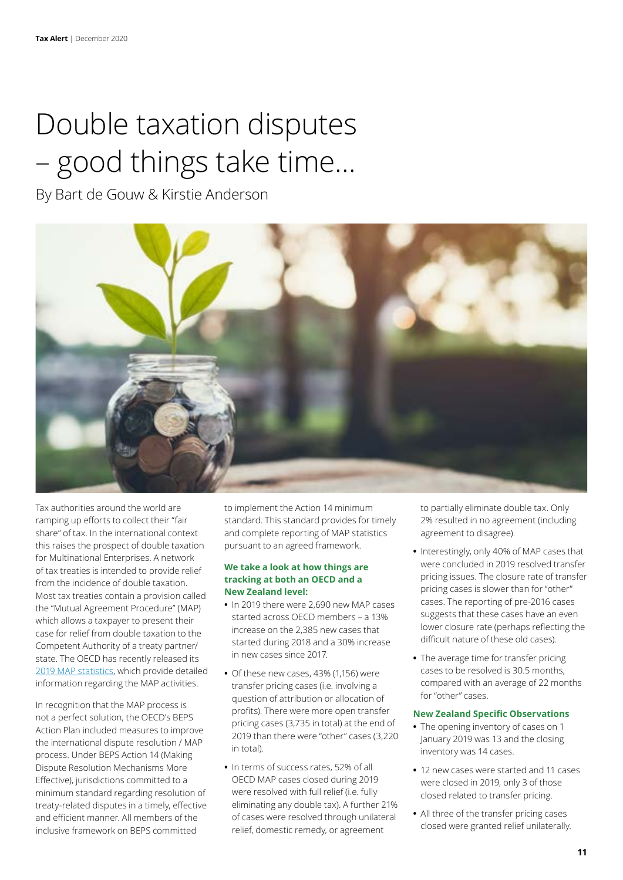# Double taxation disputes – good things take time…

By Bart de Gouw & Kirstie Anderson



Tax authorities around the world are ramping up efforts to collect their "fair share" of tax. In the international context this raises the prospect of double taxation for Multinational Enterprises. A network of tax treaties is intended to provide relief from the incidence of double taxation. Most tax treaties contain a provision called the "Mutual Agreement Procedure" (MAP) which allows a taxpayer to present their case for relief from double taxation to the Competent Authority of a treaty partner/ state. The OECD has recently released its [2019 MAP statistics](https://www.oecd.org/tax/dispute/mutual-agreement-procedure-statistics.htm), which provide detailed information regarding the MAP activities.

In recognition that the MAP process is not a perfect solution, the OECD's BEPS Action Plan included measures to improve the international dispute resolution / MAP process. Under BEPS Action 14 (Making Dispute Resolution Mechanisms More Effective), jurisdictions committed to a minimum standard regarding resolution of treaty-related disputes in a timely, effective and efficient manner. All members of the inclusive framework on BEPS committed

to implement the Action 14 minimum standard. This standard provides for timely and complete reporting of MAP statistics pursuant to an agreed framework.

#### **We take a look at how things are tracking at both an OECD and a New Zealand level:**

- **•** In 2019 there were 2,690 new MAP cases started across OECD members – a 13% increase on the 2,385 new cases that started during 2018 and a 30% increase in new cases since 2017.
- **•** Of these new cases, 43% (1,156) were transfer pricing cases (i.e. involving a question of attribution or allocation of profits). There were more open transfer pricing cases (3,735 in total) at the end of 2019 than there were "other" cases (3,220 in total).
- **•** In terms of success rates, 52% of all OECD MAP cases closed during 2019 were resolved with full relief (i.e. fully eliminating any double tax). A further 21% of cases were resolved through unilateral relief, domestic remedy, or agreement

to partially eliminate double tax. Only 2% resulted in no agreement (including agreement to disagree).

- **•** Interestingly, only 40% of MAP cases that were concluded in 2019 resolved transfer pricing issues. The closure rate of transfer pricing cases is slower than for "other" cases. The reporting of pre-2016 cases suggests that these cases have an even lower closure rate (perhaps reflecting the difficult nature of these old cases).
- **•** The average time for transfer pricing cases to be resolved is 30.5 months, compared with an average of 22 months for "other" cases.

#### **New Zealand Specific Observations**

- **•** The opening inventory of cases on 1 January 2019 was 13 and the closing inventory was 14 cases.
- **•** 12 new cases were started and 11 cases were closed in 2019, only 3 of those closed related to transfer pricing.
- **•** All three of the transfer pricing cases closed were granted relief unilaterally.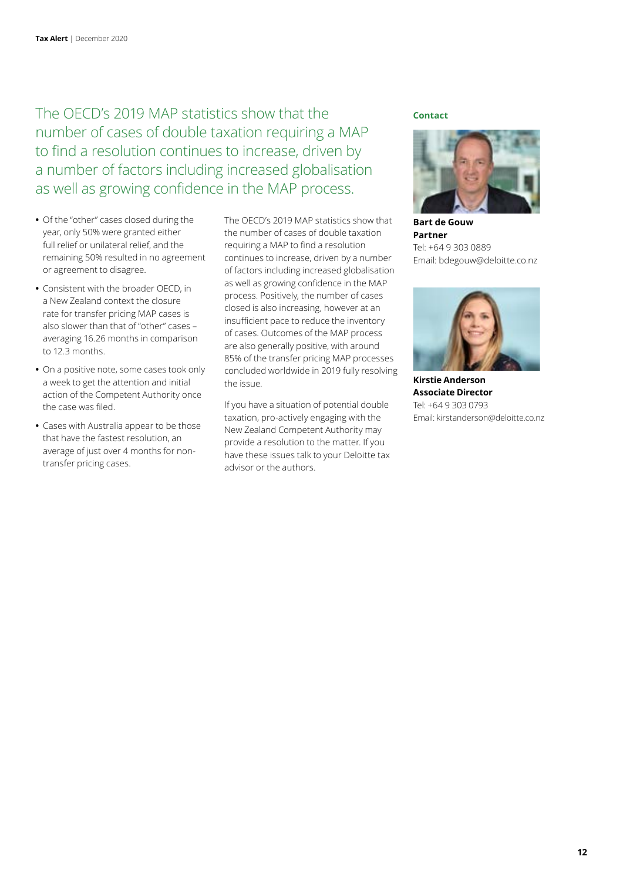The OECD's 2019 MAP statistics show that the number of cases of double taxation requiring a MAP to find a resolution continues to increase, driven by a number of factors including increased globalisation as well as growing confidence in the MAP process.

- **•** Of the "other" cases closed during the year, only 50% were granted either full relief or unilateral relief, and the remaining 50% resulted in no agreement or agreement to disagree.
- **•** Consistent with the broader OECD, in a New Zealand context the closure rate for transfer pricing MAP cases is also slower than that of "other" cases – averaging 16.26 months in comparison to 12.3 months.
- **•** On a positive note, some cases took only a week to get the attention and initial action of the Competent Authority once the case was filed.
- **•** Cases with Australia appear to be those that have the fastest resolution, an average of just over 4 months for nontransfer pricing cases.

The OECD's 2019 MAP statistics show that the number of cases of double taxation requiring a MAP to find a resolution continues to increase, driven by a number of factors including increased globalisation as well as growing confidence in the MAP process. Positively, the number of cases closed is also increasing, however at an insufficient pace to reduce the inventory of cases. Outcomes of the MAP process are also generally positive, with around 85% of the transfer pricing MAP processes concluded worldwide in 2019 fully resolving the issue.

If you have a situation of potential double taxation, pro-actively engaging with the New Zealand Competent Authority may provide a resolution to the matter. If you have these issues talk to your Deloitte tax advisor or the authors.

#### **Contact**



**Bart de Gouw Partner** Tel: +64 9 303 0889 Email: bdegouw@deloitte.co.nz



**Kirstie Anderson Associate Director** Tel: +64 9 303 0793 Email: kirstanderson@deloitte.co.nz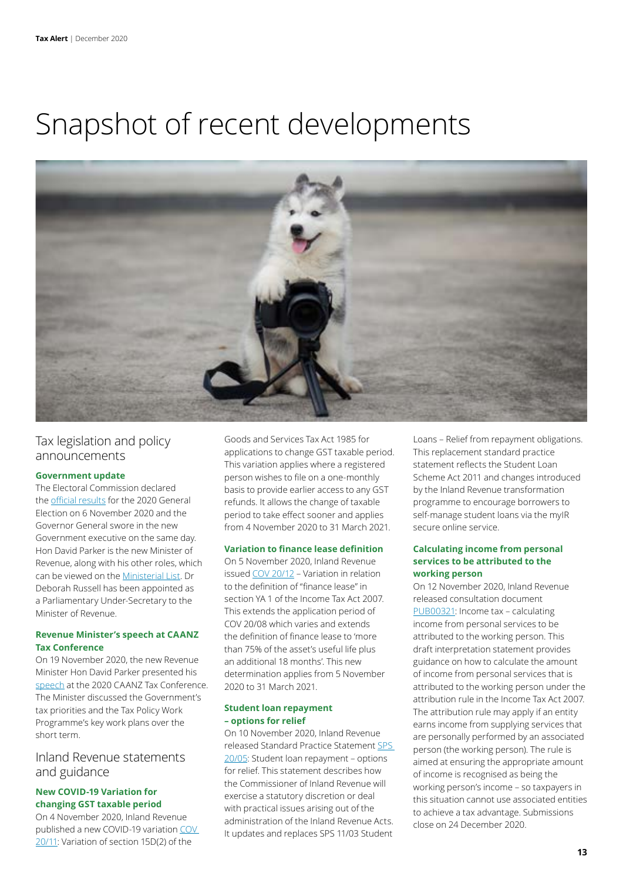### Snapshot of recent developments



#### Tax legislation and policy announcements

#### **Government update**

The Electoral Commission declared the [official results](https://elections.nz/media-and-news/2020/2020-general-election-official-results/) for the 2020 General Election on 6 November 2020 and the Governor General swore in the new Government executive on the same day. Hon David Parker is the new Minister of Revenue, along with his other roles, which can be viewed on the [Ministerial List](https://www.beehive.govt.nz/sites/default/files/2020-11/Ministerial%20List%20announcement%202%20November%202020.pdf). Dr Deborah Russell has been appointed as a Parliamentary Under-Secretary to the Minister of Revenue.

#### **Revenue Minister's speech at CAANZ Tax Conference**

On 19 November 2020, the new Revenue Minister Hon David Parker presented his [speech](https://www.beehive.govt.nz/speech/keynote-address-chartered-accountants-australia-and-new-zealand-conference) at the 2020 CAANZ Tax Conference. The Minister discussed the Government's tax priorities and the Tax Policy Work Programme's key work plans over the short term.

#### Inland Revenue statements and guidance

#### **New COVID-19 Variation for changing GST taxable period**

On 4 November 2020, Inland Revenue published a new COVID-19 variation [COV](https://www.taxtechnical.ird.govt.nz/determinations/covid-19-variations/cov-20-11)  [20/11:](https://www.taxtechnical.ird.govt.nz/determinations/covid-19-variations/cov-20-11) Variation of section 15D(2) of the

Goods and Services Tax Act 1985 for applications to change GST taxable period. This variation applies where a registered person wishes to file on a one-monthly basis to provide earlier access to any GST refunds. It allows the change of taxable period to take effect sooner and applies from 4 November 2020 to 31 March 2021.

#### **Variation to finance lease definition**

On 5 November 2020, Inland Revenue issued [COV 20/12](https://www.taxtechnical.ird.govt.nz/-/media/project/ir/tt/pdfs/determinations/covid-19-variation/cov-20-12.pdf?la=en) – Variation in relation to the definition of "finance lease" in section YA 1 of the Income Tax Act 2007. This extends the application period of COV 20/08 which varies and extends the definition of finance lease to 'more than 75% of the asset's useful life plus an additional 18 months'. This new determination applies from 5 November 2020 to 31 March 2021.

#### **Student loan repayment – options for relief**

On 10 November 2020, Inland Revenue released Standard Practice Statement [SPS](https://www.taxtechnical.ird.govt.nz/-/media/project/ir/tt/pdfs/standard-practice-statements/returns-and-debt-collection/sps-20-05.pdf?la=en)  [20/05](https://www.taxtechnical.ird.govt.nz/-/media/project/ir/tt/pdfs/standard-practice-statements/returns-and-debt-collection/sps-20-05.pdf?la=en): Student loan repayment – options for relief. This statement describes how the Commissioner of Inland Revenue will exercise a statutory discretion or deal with practical issues arising out of the administration of the Inland Revenue Acts. It updates and replaces SPS 11/03 Student

Loans – Relief from repayment obligations. This replacement standard practice statement reflects the Student Loan Scheme Act 2011 and changes introduced by the Inland Revenue transformation programme to encourage borrowers to self-manage student loans via the myIR secure online service.

#### **Calculating income from personal services to be attributed to the working person**

On 12 November 2020, Inland Revenue released consultation document [PUB00321](https://www.taxtechnical.ird.govt.nz/-/media/project/ir/tt/pdfs/consultations/current-consultations/pub00321.pdf?la=en&hash=2F807CAC1676A20F57E5D6AC3A83E9D6): Income tax – calculating income from personal services to be attributed to the working person. This draft interpretation statement provides guidance on how to calculate the amount of income from personal services that is attributed to the working person under the attribution rule in the Income Tax Act 2007. The attribution rule may apply if an entity earns income from supplying services that are personally performed by an associated person (the working person). The rule is aimed at ensuring the appropriate amount of income is recognised as being the working person's income – so taxpayers in this situation cannot use associated entities to achieve a tax advantage. Submissions close on 24 December 2020.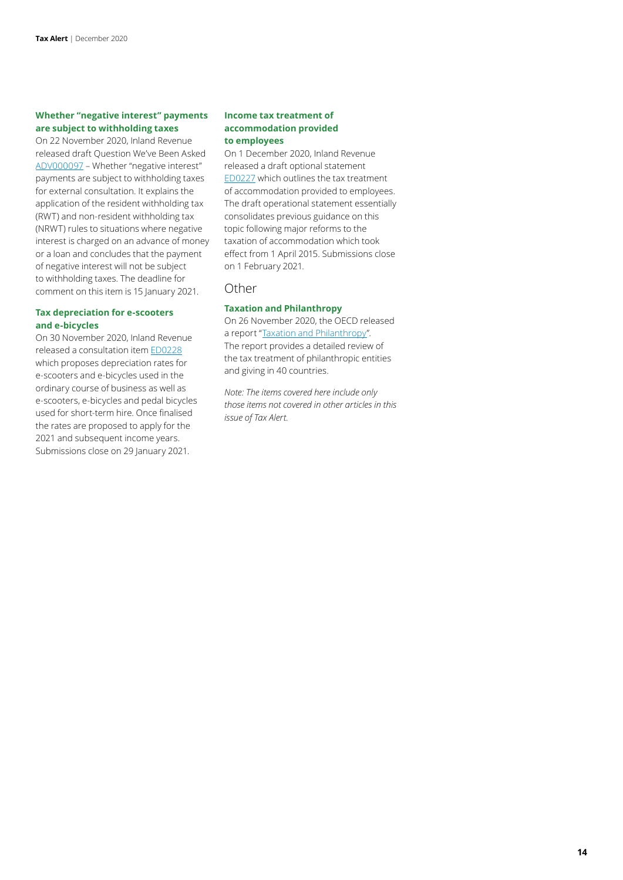#### **Whether "negative interest" payments are subject to withholding taxes**

On 22 November 2020, Inland Revenue released draft Question We've Been Asked [ADV000097](https://www.taxtechnical.ird.govt.nz/-/media/project/ir/tt/pdfs/consultations/current-consultations/adv00097.pdf?la=en&hash=309C2EC2C4B7697DB07496345165E5DA) – Whether "negative interest" payments are subject to withholding taxes for external consultation. It explains the application of the resident withholding tax (RWT) and non-resident withholding tax (NRWT) rules to situations where negative interest is charged on an advance of money or a loan and concludes that the payment of negative interest will not be subject to withholding taxes. The deadline for comment on this item is 15 January 2021.

#### **Tax depreciation for e-scooters and e-bicycles**

On 30 November 2020, Inland Revenue released a consultation item [ED0228](https://www.taxtechnical.ird.govt.nz/-/media/project/ir/tt/pdfs/consultations/current-consultations/ed0228.pdf?la=en&hash=636424FEDAEBA96B50A30EE7761F883E) which proposes depreciation rates for e-scooters and e-bicycles used in the ordinary course of business as well as e-scooters, e-bicycles and pedal bicycles used for short-term hire. Once finalised the rates are proposed to apply for the 2021 and subsequent income years. Submissions close on 29 January 2021.

#### **Income tax treatment of accommodation provided to employees**

On 1 December 2020, Inland Revenue released a draft optional statement [ED0227](https://www.taxtechnical.ird.govt.nz/-/media/project/ir/tt/pdfs/consultations/current-consultations/ed0227.pdf?la=en&hash=C8EFFB69BC3D27E90D57CECAF807F25C) which outlines the tax treatment of accommodation provided to employees. The draft operational statement essentially consolidates previous guidance on this topic following major reforms to the taxation of accommodation which took effect from 1 April 2015. Submissions close on 1 February 2021.

#### Other

#### **Taxation and Philanthropy**

On 26 November 2020, the OECD released a report "[Taxation and Philanthropy](http://www.oecd.org/tax/tax-policy/taxation-and-philanthropy-df434a77-en.htm)". The report provides a detailed review of the tax treatment of philanthropic entities and giving in 40 countries.

*Note: The items covered here include only those items not covered in other articles in this issue of Tax Alert.*